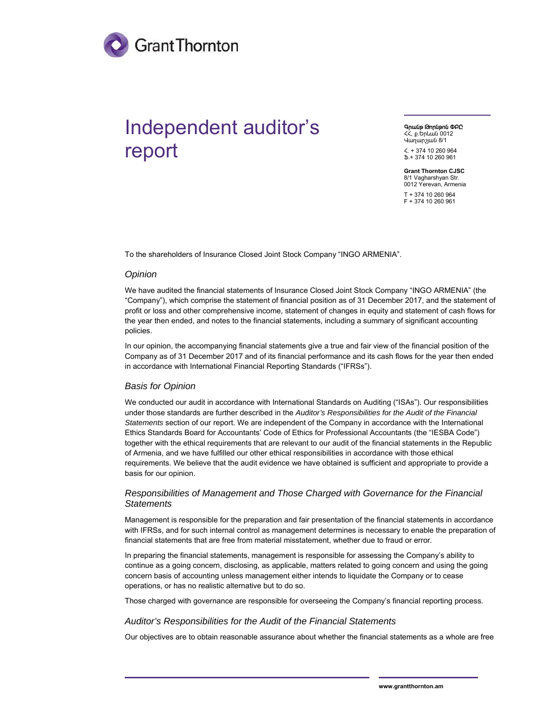

# Independent auditor's report

 Գրանթ Թորնթոն ՓԲԸ ՀՀ, ք.Երևան 0012

Վաղարշյան 8/1  $\zeta$  + 374 10 260 964 Ֆ.+ 374 10 260 961

 **Grant Thornton CJSC**  8/1 Vagharshyan Str. 0012 Yerevan, Armenia T + 374 10 260 964 F + 374 10 260 961

To the shareholders of Insurance Closed Joint Stock Company "INGO ARMENIA".

#### *Opinion*

We have audited the financial statements of Insurance Closed Joint Stock Company "INGO ARMENIA" (the "Company"), which comprise the statement of financial position as of 31 December 2017, and the statement of profit or loss and other comprehensive income, statement of changes in equity and statement of cash flows for the year then ended, and notes to the financial statements, including a summary of significant accounting policies.

In our opinion, the accompanying financial statements give a true and fair view of the financial position of the Company as of 31 December 2017 and of its financial performance and its cash flows for the year then ended in accordance with International Financial Reporting Standards ("IFRSs").

## *Basis for Opinion*

We conducted our audit in accordance with International Standards on Auditing ("ISAs"). Our responsibilities under those standards are further described in the *Auditor's Responsibilities for the Audit of the Financial Statements* section of our report. We are independent of the Company in accordance with the International Ethics Standards Board for Accountants' Code of Ethics for Professional Accountants (the "IESBA Code") together with the ethical requirements that are relevant to our audit of the financial statements in the Republic of Armenia, and we have fulfilled our other ethical responsibilities in accordance with those ethical requirements. We believe that the audit evidence we have obtained is sufficient and appropriate to provide a basis for our opinion.

## *Responsibilities of Management and Those Charged with Governance for the Financial Statements*

Management is responsible for the preparation and fair presentation of the financial statements in accordance with IFRSs, and for such internal control as management determines is necessary to enable the preparation of financial statements that are free from material misstatement, whether due to fraud or error.

In preparing the financial statements, management is responsible for assessing the Company's ability to continue as a going concern, disclosing, as applicable, matters related to going concern and using the going concern basis of accounting unless management either intends to liquidate the Company or to cease operations, or has no realistic alternative but to do so.

Those charged with governance are responsible for overseeing the Company's financial reporting process.

#### *Auditor's Responsibilities for the Audit of the Financial Statements*

Our objectives are to obtain reasonable assurance about whether the financial statements as a whole are free